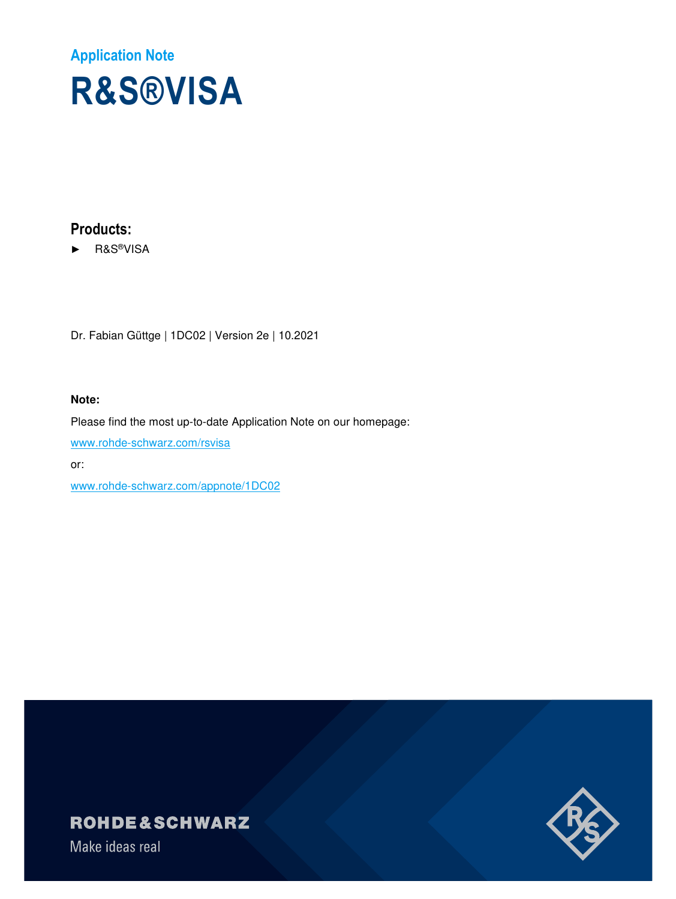# **Application Note R&S®VISA**

# **Products:**

► R&S®VISA

Dr. Fabian Güttge | 1DC02 | Version 2e | 10.2021

#### **Note:**

Please find the most up-to-date Application Note on our homepage: www.rohde-schwarz.com/rsvisa

or:

www.rohde-schwarz.com/appnote/1DC02

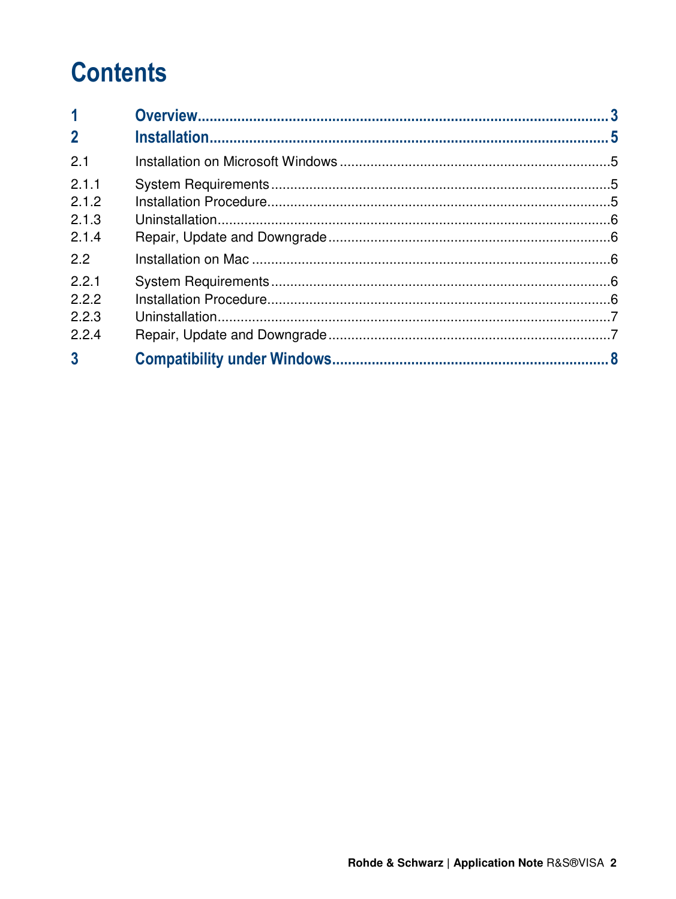# **Contents**

| $\overline{\mathbf{1}}$ |  |
|-------------------------|--|
| $\overline{2}$          |  |
| 2.1                     |  |
| 2.1.1<br>2.1.2          |  |
| 2.1.3                   |  |
| 2.1.4                   |  |
| 2.2                     |  |
| 2.2.1                   |  |
| 2.2.2                   |  |
| 2.2.3                   |  |
| 2.2.4                   |  |
| $\overline{3}$          |  |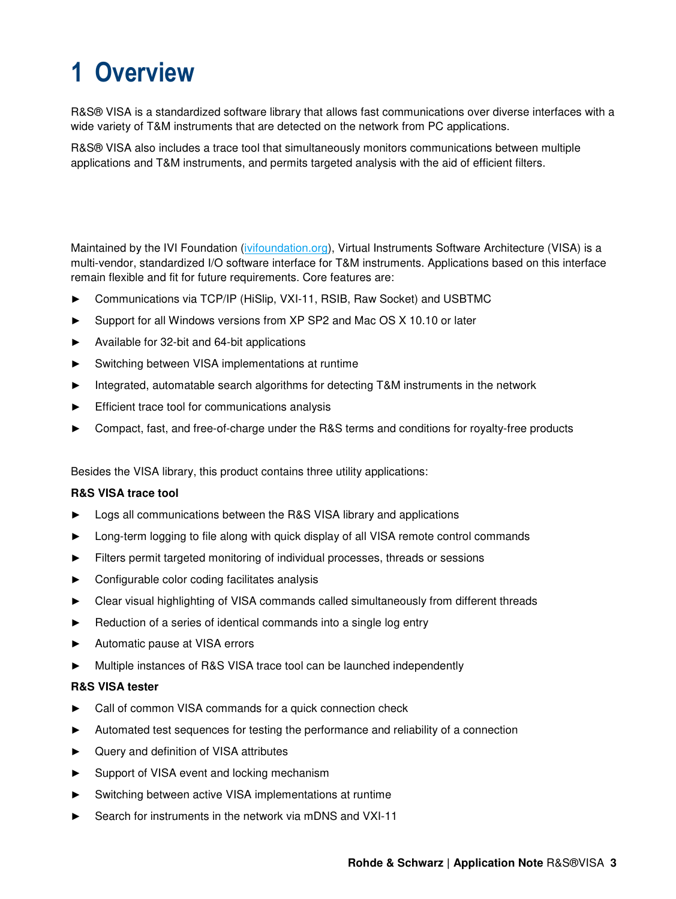# **1 Overview**

R&S® VISA is a standardized software library that allows fast communications over diverse interfaces with a wide variety of T&M instruments that are detected on the network from PC applications.

R&S® VISA also includes a trace tool that simultaneously monitors communications between multiple applications and T&M instruments, and permits targeted analysis with the aid of efficient filters.

Maintained by the IVI Foundation (ivifoundation.org), Virtual Instruments Software Architecture (VISA) is a multi-vendor, standardized I/O software interface for T&M instruments. Applications based on this interface remain flexible and fit for future requirements. Core features are:

- ► Communications via TCP/IP (HiSlip, VXI-11, RSIB, Raw Socket) and USBTMC
- ► Support for all Windows versions from XP SP2 and Mac OS X 10.10 or later
- ► Available for 32-bit and 64-bit applications
- ► Switching between VISA implementations at runtime
- ► Integrated, automatable search algorithms for detecting T&M instruments in the network
- Efficient trace tool for communications analysis
- ► Compact, fast, and free-of-charge under the R&S terms and conditions for royalty-free products

Besides the VISA library, this product contains three utility applications:

#### **R&S VISA trace tool**

- Logs all communications between the R&S VISA library and applications
- Long-term logging to file along with quick display of all VISA remote control commands
- ► Filters permit targeted monitoring of individual processes, threads or sessions
- ► Configurable color coding facilitates analysis
- ► Clear visual highlighting of VISA commands called simultaneously from different threads
- Reduction of a series of identical commands into a single log entry
- Automatic pause at VISA errors
- ► Multiple instances of R&S VISA trace tool can be launched independently

#### **R&S VISA tester**

- Call of common VISA commands for a quick connection check
- ► Automated test sequences for testing the performance and reliability of a connection
- ► Query and definition of VISA attributes
- ► Support of VISA event and locking mechanism
- Switching between active VISA implementations at runtime
- Search for instruments in the network via mDNS and VXI-11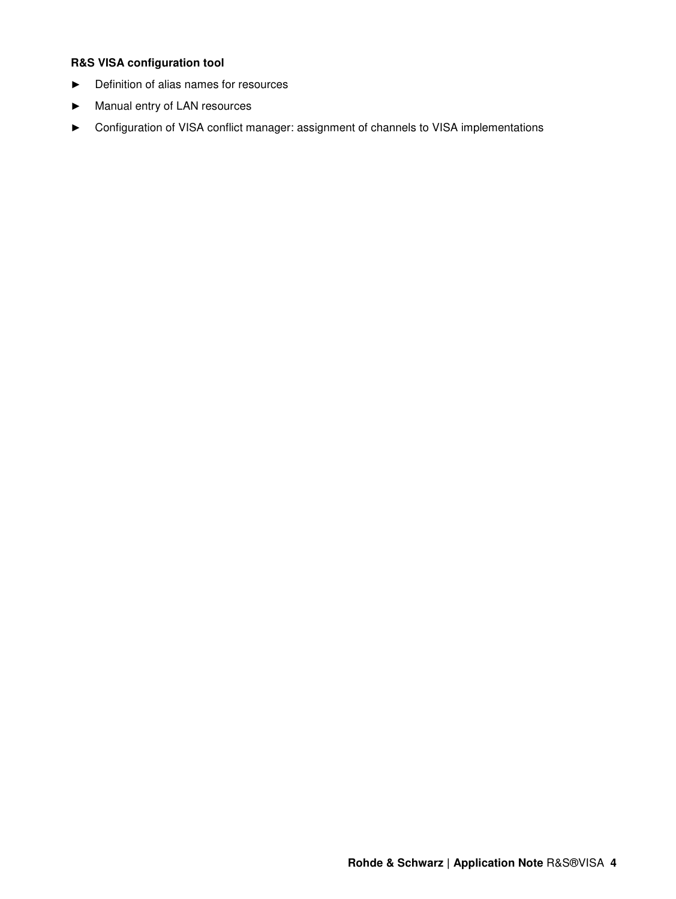### **R&S VISA configuration tool**

- ► Definition of alias names for resources
- ► Manual entry of LAN resources
- ► Configuration of VISA conflict manager: assignment of channels to VISA implementations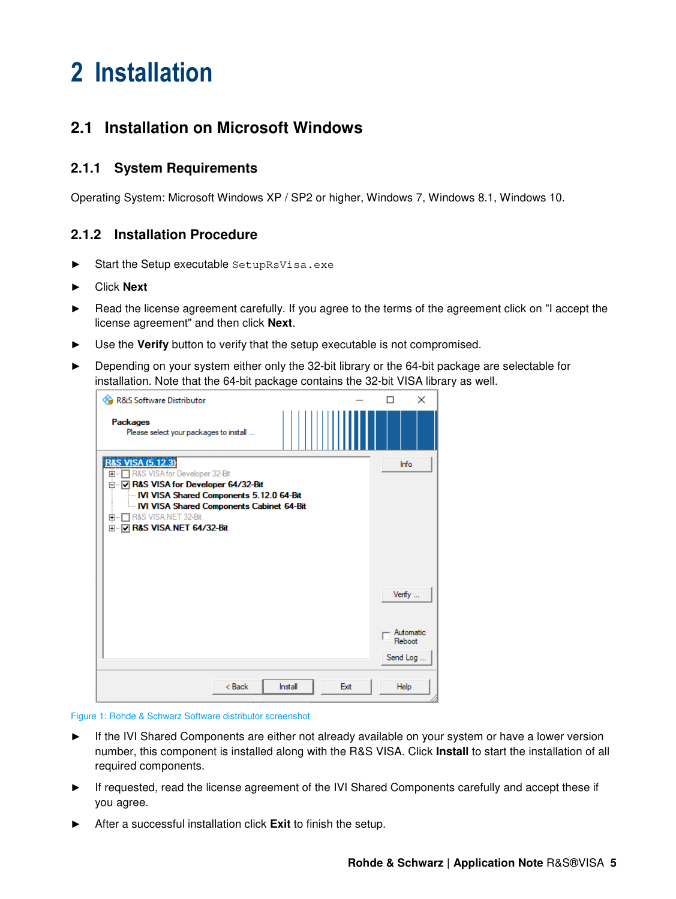# **2 Installation**

# **2.1 Installation on Microsoft Windows**

## **2.1.1 System Requirements**

Operating System: Microsoft Windows XP / SP2 or higher, Windows 7, Windows 8.1, Windows 10.

### **2.1.2 Installation Procedure**

- ► Start the Setup executable SetupRsVisa.exe
- ► Click **Next**
- ► Read the license agreement carefully. If you agree to the terms of the agreement click on "I accept the license agreement" and then click **Next**.
- Use the Verify button to verify that the setup executable is not compromised.
- ► Depending on your system either only the 32-bit library or the 64-bit package are selectable for installation. Note that the 64-bit package contains the 32-bit VISA library as well.

| R&S Software Distributor                                                                                                                                                                                                                                                                        | ×<br>П                          |
|-------------------------------------------------------------------------------------------------------------------------------------------------------------------------------------------------------------------------------------------------------------------------------------------------|---------------------------------|
| <b>Packages</b><br>Please select your packages to install                                                                                                                                                                                                                                       |                                 |
| <b>R&amp;S VISA (5.12.3)</b><br>R&S VISA for Developer 32-Bit<br>田…<br>□ V R&S VISA for Developer 64/32-Bit<br><b>IVI VISA Shared Components 5.12.0 64-Bit</b><br><b>IVI VISA Shared Components Cabinet 64-Bit</b><br>R&S VISA.NET 32-Bit<br><b>中…</b><br><b>h V R&amp;S VISA.NET 64/32-Bit</b> | Info                            |
|                                                                                                                                                                                                                                                                                                 | Verify                          |
|                                                                                                                                                                                                                                                                                                 | Automatic<br>Reboot<br>Send Log |
| $8$ Back<br>Exit<br>Install                                                                                                                                                                                                                                                                     | Help                            |

Figure 1: Rohde & Schwarz Software distributor screenshot

- ► If the IVI Shared Components are either not already available on your system or have a lower version number, this component is installed along with the R&S VISA. Click **Install** to start the installation of all required components.
- If requested, read the license agreement of the IVI Shared Components carefully and accept these if you agree.
- After a successful installation click **Exit** to finish the setup.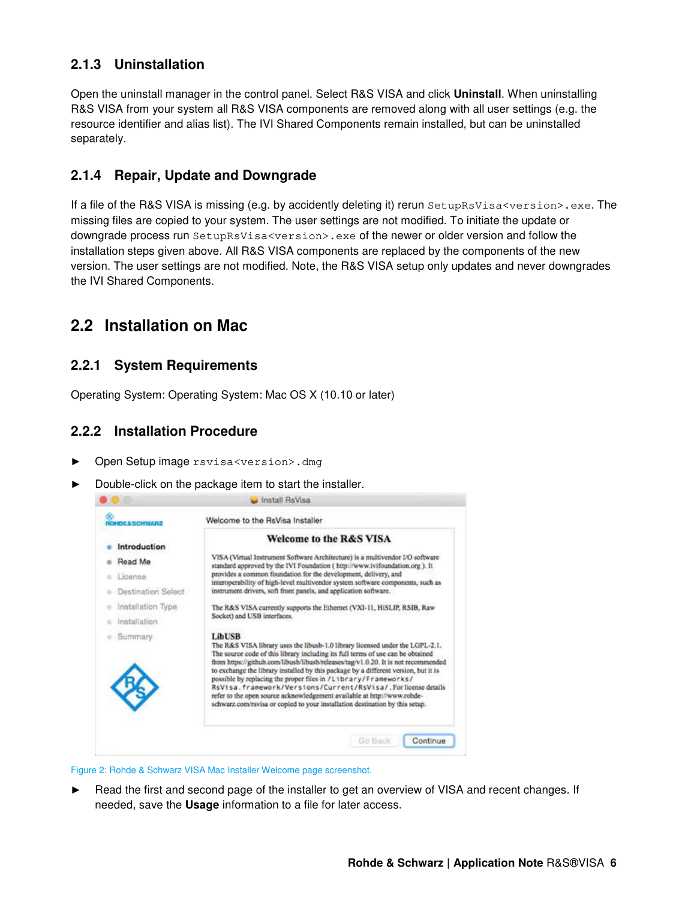# **2.1.3 Uninstallation**

Open the uninstall manager in the control panel. Select R&S VISA and click **Uninstall**. When uninstalling R&S VISA from your system all R&S VISA components are removed along with all user settings (e.g. the resource identifier and alias list). The IVI Shared Components remain installed, but can be uninstalled separately.

## **2.1.4 Repair, Update and Downgrade**

If a file of the R&S VISA is missing (e.g. by accidently deleting it) rerun SetupRsVisa<version>.exe. The missing files are copied to your system. The user settings are not modified. To initiate the update or downgrade process run SetupRsVisa<version>.exe of the newer or older version and follow the installation steps given above. All R&S VISA components are replaced by the components of the new version. The user settings are not modified. Note, the R&S VISA setup only updates and never downgrades the IVI Shared Components.

# **2.2 Installation on Mac**

### **2.2.1 System Requirements**

Operating System: Operating System: Mac OS X (10.10 or later)

### **2.2.2 Installation Procedure**

- ► Open Setup image rsvisa<version>.dmg
- Double-click on the package item to start the installer.

| <b><i>RSCHOULEZ</i></b> |                                                                                                                                                                                                                                                                                                                                                                                                                                                                                                                                                                                                                                                            |
|-------------------------|------------------------------------------------------------------------------------------------------------------------------------------------------------------------------------------------------------------------------------------------------------------------------------------------------------------------------------------------------------------------------------------------------------------------------------------------------------------------------------------------------------------------------------------------------------------------------------------------------------------------------------------------------------|
| Introduction            | <b>Welcome to the R&amp;S VISA</b>                                                                                                                                                                                                                                                                                                                                                                                                                                                                                                                                                                                                                         |
| Read Me                 | VISA (Virtual Instrument Software Architecture) is a multivendor I/O software<br>standard approved by the IVI Foundation (http://www.ivifoundation.org ). It                                                                                                                                                                                                                                                                                                                                                                                                                                                                                               |
| License                 | provides a common foundation for the development, delivery, and<br>interoperability of high-level multivendor system software components, such as                                                                                                                                                                                                                                                                                                                                                                                                                                                                                                          |
| Destination Select      | instrument drivers, soft front panels, and application software.                                                                                                                                                                                                                                                                                                                                                                                                                                                                                                                                                                                           |
| Installation Type       | The R&S VISA currently supports the Ethernet (VXI-11, HiSLIP, RSIB, Raw                                                                                                                                                                                                                                                                                                                                                                                                                                                                                                                                                                                    |
| Installation            | Socket) and USB interfaces.                                                                                                                                                                                                                                                                                                                                                                                                                                                                                                                                                                                                                                |
| Summary.                | <b>LibUSB</b><br>The R&S VISA library uses the libusb-1.0 library licensed under the LGPL-2.1.<br>The source code of this library including its full terms of use can be obtained<br>from https://github.com/libusb/libusb/releases/tag/v1.0.20. It is not recommended<br>to exchange the library installed by this package by a different version, but it is<br>possible by replacing the proper files in /Library/Frameworks/<br>RSVisa.framework/Versions/Current/RsVisa/.Forlicense details<br>refer to the open source acknowledgement available at http://www.rohde-<br>schwarz.com/rsvisa or copied to your installation destination by this setup. |

Figure 2: Rohde & Schwarz VISA Mac Installer Welcome page screenshot.

► Read the first and second page of the installer to get an overview of VISA and recent changes. If needed, save the **Usage** information to a file for later access.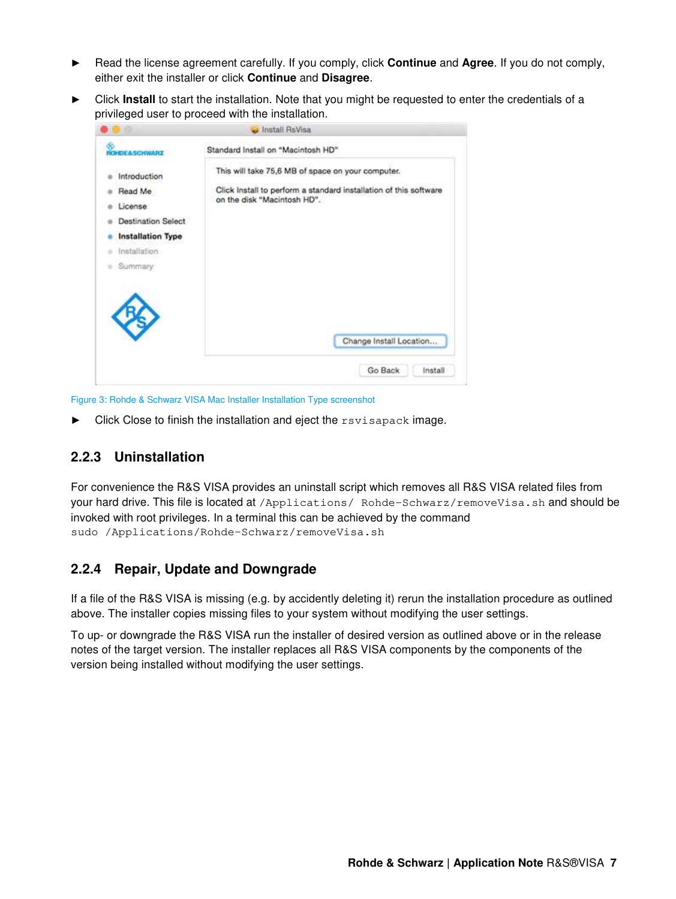- ► Read the license agreement carefully. If you comply, click **Continue** and **Agree**. If you do not comply, either exit the installer or click **Continue** and **Disagree**.
- Click **Install** to start the installation. Note that you might be requested to enter the credentials of a privileged user to proceed with the installation.

|                                                                                                                         | Install RsVisa                                                                                                                                        |  |
|-------------------------------------------------------------------------------------------------------------------------|-------------------------------------------------------------------------------------------------------------------------------------------------------|--|
| DEASCHWARZ                                                                                                              | Standard Install on "Macintosh HD"                                                                                                                    |  |
| Introduction<br>Read Me<br>License<br><b>Destination Select</b><br><b>Installation Type</b><br>Installation<br>Summary: | This will take 75,6 MB of space on your computer.<br>Click Install to perform a standard installation of this software<br>on the disk "Macintosh HD". |  |
|                                                                                                                         | Change Install Location                                                                                                                               |  |
|                                                                                                                         |                                                                                                                                                       |  |

Figure 3: Rohde & Schwarz VISA Mac Installer Installation Type screenshot

Click Close to finish the installation and eject the rsvisapack image.

## **2.2.3 Uninstallation**

For convenience the R&S VISA provides an uninstall script which removes all R&S VISA related files from your hard drive. This file is located at /Applications/ Rohde-Schwarz/removeVisa.sh and should be invoked with root privileges. In a terminal this can be achieved by the command sudo /Applications/Rohde-Schwarz/removeVisa.sh

### **2.2.4 Repair, Update and Downgrade**

If a file of the R&S VISA is missing (e.g. by accidently deleting it) rerun the installation procedure as outlined above. The installer copies missing files to your system without modifying the user settings.

To up- or downgrade the R&S VISA run the installer of desired version as outlined above or in the release notes of the target version. The installer replaces all R&S VISA components by the components of the version being installed without modifying the user settings.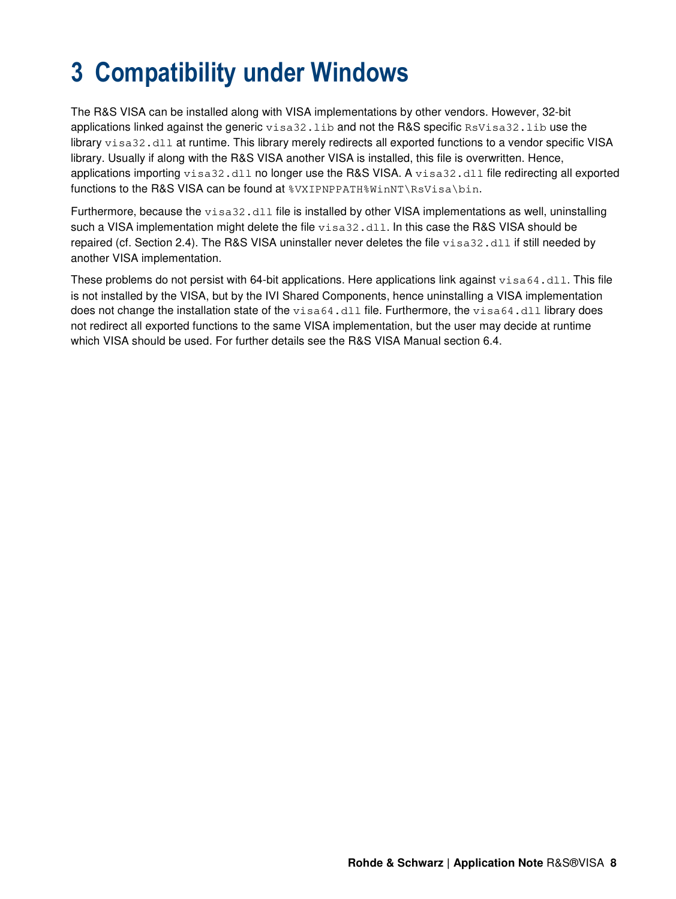# **3 Compatibility under Windows**

The R&S VISA can be installed along with VISA implementations by other vendors. However, 32-bit applications linked against the generic visa32.1ib and not the R&S specific RsVisa32.1ib use the library visa32.dll at runtime. This library merely redirects all exported functions to a vendor specific VISA library. Usually if along with the R&S VISA another VISA is installed, this file is overwritten. Hence, applications importing visa32.dll no longer use the R&S VISA. A visa32.dll file redirecting all exported functions to the R&S VISA can be found at  $\overline{\text{SWIPNPPATHWinnNNsVisa\binom{1}{1}}$ .

Furthermore, because the visa32.dll file is installed by other VISA implementations as well, uninstalling such a VISA implementation might delete the file visa32.dll. In this case the R&S VISA should be repaired (cf. Section 2.4). The R&S VISA uninstaller never deletes the file visa32.dll if still needed by another VISA implementation.

These problems do not persist with 64-bit applications. Here applications link against visa64.dll. This file is not installed by the VISA, but by the IVI Shared Components, hence uninstalling a VISA implementation does not change the installation state of the visa64.dll file. Furthermore, the visa64.dll library does not redirect all exported functions to the same VISA implementation, but the user may decide at runtime which VISA should be used. For further details see the R&S VISA Manual section 6.4.